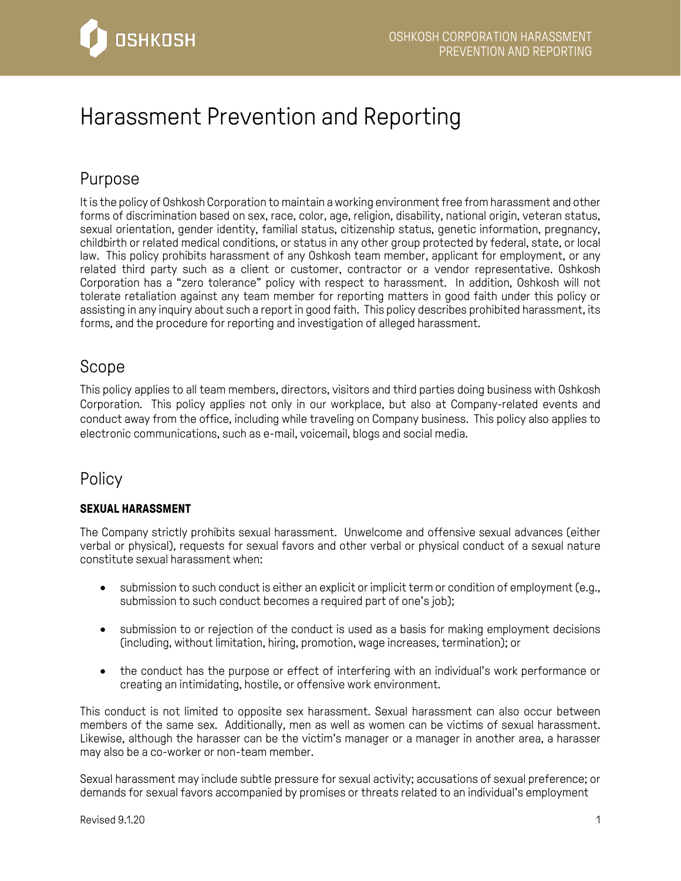

# Harassment Prevention and Reporting

## Purpose

It is the policy of Oshkosh Corporation to maintain a working environment free from harassment and other forms of discrimination based on sex, race, color, age, religion, disability, national origin, veteran status, sexual orientation, gender identity, familial status, citizenship status, genetic information, pregnancy, childbirth or related medical conditions, or status in any other group protected by federal, state, or local law. This policy prohibits harassment of any Oshkosh team member, applicant for employment, or any related third party such as a client or customer, contractor or a vendor representative. Oshkosh Corporation has a "zero tolerance" policy with respect to harassment. In addition, Oshkosh will not tolerate retaliation against any team member for reporting matters in good faith under this policy or assisting in any inquiry about such a report in good faith. This policy describes prohibited harassment, its forms, and the procedure for reporting and investigation of alleged harassment.

### Scope

This policy applies to all team members, directors, visitors and third parties doing business with Oshkosh Corporation. This policy applies not only in our workplace, but also at Company-related events and conduct away from the office, including while traveling on Company business. This policy also applies to electronic communications, such as e-mail, voicemail, blogs and social media.

### Policy

### **SEXUAL HARASSMENT**

The Company strictly prohibits sexual harassment. Unwelcome and offensive sexual advances (either verbal or physical), requests for sexual favors and other verbal or physical conduct of a sexual nature constitute sexual harassment when:

- submission to such conduct is either an explicit or implicit term or condition of employment (e.g., submission to such conduct becomes a required part of one's job);
- submission to or rejection of the conduct is used as a basis for making employment decisions (including, without limitation, hiring, promotion, wage increases, termination); or
- the conduct has the purpose or effect of interfering with an individual's work performance or creating an intimidating, hostile, or offensive work environment.

This conduct is not limited to opposite sex harassment. Sexual harassment can also occur between members of the same sex. Additionally, men as well as women can be victims of sexual harassment. Likewise, although the harasser can be the victim's manager or a manager in another area, a harasser may also be a co-worker or non-team member.

Sexual harassment may include subtle pressure for sexual activity; accusations of sexual preference; or demands for sexual favors accompanied by promises or threats related to an individual's employment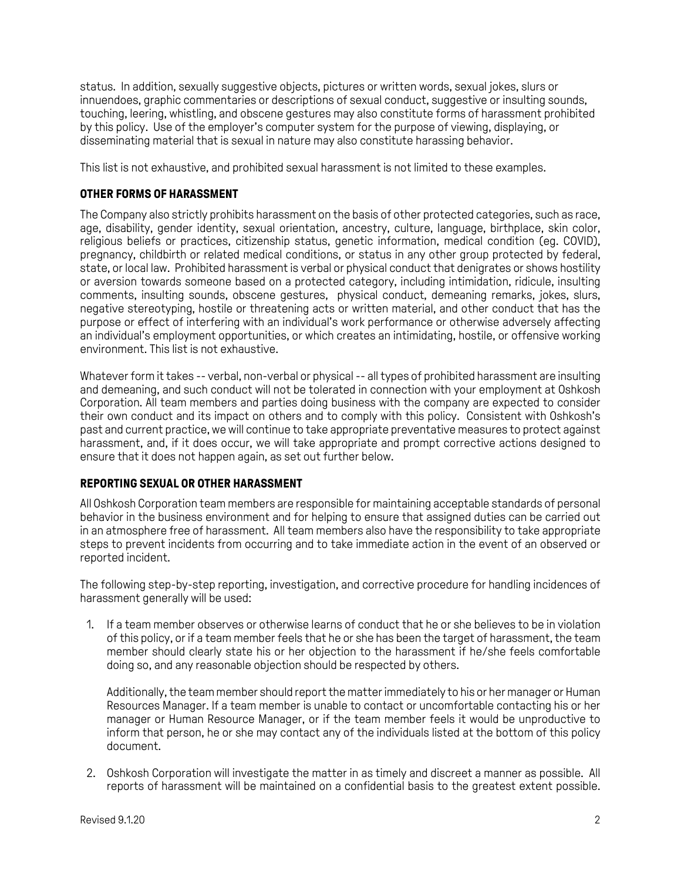status. In addition, sexually suggestive objects, pictures or written words, sexual jokes, slurs or innuendoes, graphic commentaries or descriptions of sexual conduct, suggestive or insulting sounds, touching, leering, whistling, and obscene gestures may also constitute forms of harassment prohibited by this policy. Use of the employer's computer system for the purpose of viewing, displaying, or disseminating material that is sexual in nature may also constitute harassing behavior.

This list is not exhaustive, and prohibited sexual harassment is not limited to these examples.

#### **OTHER FORMS OF HARASSMENT**

The Company also strictly prohibits harassment on the basis of other protected categories, such as race, age, disability, gender identity, sexual orientation, ancestry, culture, language, birthplace, skin color, religious beliefs or practices, citizenship status, genetic information, medical condition (eg. COVID), pregnancy, childbirth or related medical conditions, or status in any other group protected by federal, state, or local law. Prohibited harassment is verbal or physical conduct that denigrates or shows hostility or aversion towards someone based on a protected category, including intimidation, ridicule, insulting comments, insulting sounds, obscene gestures, physical conduct, demeaning remarks, jokes, slurs, negative stereotyping, hostile or threatening acts or written material, and other conduct that has the purpose or effect of interfering with an individual's work performance or otherwise adversely affecting an individual's employment opportunities, or which creates an intimidating, hostile, or offensive working environment. This list is not exhaustive.

Whatever form it takes -- verbal, non-verbal or physical -- all types of prohibited harassment are insulting and demeaning, and such conduct will not be tolerated in connection with your employment at Oshkosh Corporation. All team members and parties doing business with the company are expected to consider their own conduct and its impact on others and to comply with this policy. Consistent with Oshkosh's past and current practice, we will continue to take appropriate preventative measures to protect against harassment, and, if it does occur, we will take appropriate and prompt corrective actions designed to ensure that it does not happen again, as set out further below.

#### **REPORTING SEXUAL OR OTHER HARASSMENT**

All Oshkosh Corporation team members are responsible for maintaining acceptable standards of personal behavior in the business environment and for helping to ensure that assigned duties can be carried out in an atmosphere free of harassment. All team members also have the responsibility to take appropriate steps to prevent incidents from occurring and to take immediate action in the event of an observed or reported incident.

The following step-by-step reporting, investigation, and corrective procedure for handling incidences of harassment generally will be used:

1. If a team member observes or otherwise learns of conduct that he or she believes to be in violation of this policy, or if a team member feels that he or she has been the target of harassment, the team member should clearly state his or her objection to the harassment if he/she feels comfortable doing so, and any reasonable objection should be respected by others.

Additionally, the team member should report the matter immediately to his or her manager or Human Resources Manager. If a team member is unable to contact or uncomfortable contacting his or her manager or Human Resource Manager, or if the team member feels it would be unproductive to inform that person, he or she may contact any of the individuals listed at the bottom of this policy document.

2. Oshkosh Corporation will investigate the matter in as timely and discreet a manner as possible. All reports of harassment will be maintained on a confidential basis to the greatest extent possible.